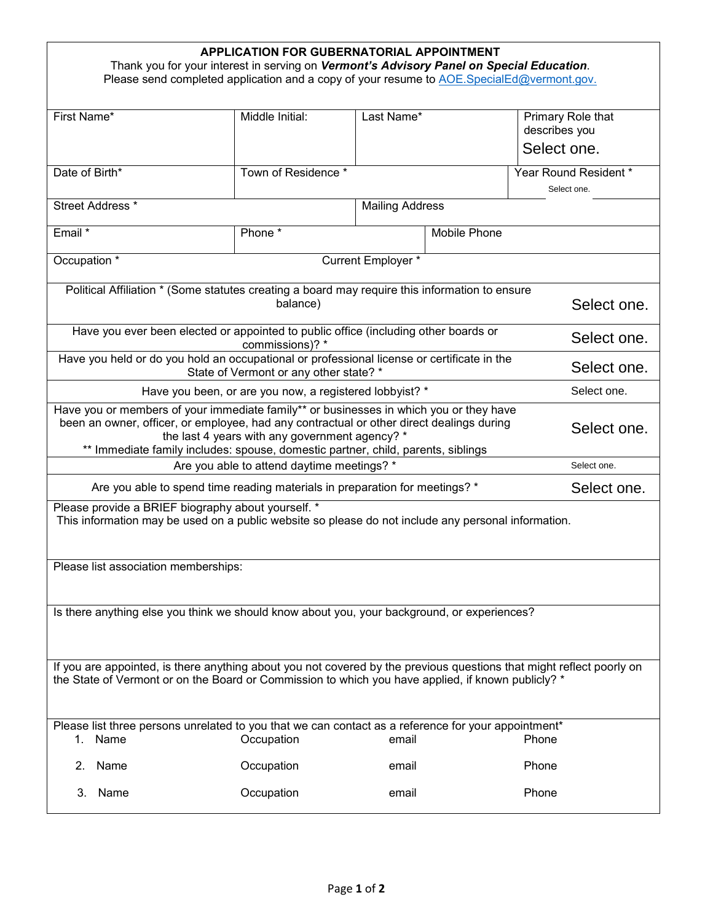| <b>APPLICATION FOR GUBERNATORIAL APPOINTMENT</b><br>Thank you for your interest in serving on Vermont's Advisory Panel on Special Education.<br>Please send completed application and a copy of your resume to AOE.SpecialEd@vermont.gov.                                                                                |                                                                                                                   |                        |              |                                    |  |
|--------------------------------------------------------------------------------------------------------------------------------------------------------------------------------------------------------------------------------------------------------------------------------------------------------------------------|-------------------------------------------------------------------------------------------------------------------|------------------------|--------------|------------------------------------|--|
| First Name*                                                                                                                                                                                                                                                                                                              | Middle Initial:                                                                                                   | Last Name*             |              | Primary Role that<br>describes you |  |
|                                                                                                                                                                                                                                                                                                                          |                                                                                                                   |                        |              | Select one.                        |  |
| Date of Birth*                                                                                                                                                                                                                                                                                                           | Town of Residence *                                                                                               |                        |              | Year Round Resident *              |  |
|                                                                                                                                                                                                                                                                                                                          |                                                                                                                   | Select one.            |              |                                    |  |
| Street Address *                                                                                                                                                                                                                                                                                                         |                                                                                                                   | <b>Mailing Address</b> |              |                                    |  |
| Email *                                                                                                                                                                                                                                                                                                                  | Phone *                                                                                                           |                        | Mobile Phone |                                    |  |
| Occupation <sup>*</sup>                                                                                                                                                                                                                                                                                                  |                                                                                                                   | Current Employer *     |              |                                    |  |
| Political Affiliation * (Some statutes creating a board may require this information to ensure<br>balance)                                                                                                                                                                                                               |                                                                                                                   |                        |              |                                    |  |
|                                                                                                                                                                                                                                                                                                                          | Select one.                                                                                                       |                        |              |                                    |  |
| Have you ever been elected or appointed to public office (including other boards or                                                                                                                                                                                                                                      | Select one.                                                                                                       |                        |              |                                    |  |
| Have you held or do you hold an occupational or professional license or certificate in the<br>State of Vermont or any other state? *                                                                                                                                                                                     | Select one.                                                                                                       |                        |              |                                    |  |
| Have you been, or are you now, a registered lobbyist? *                                                                                                                                                                                                                                                                  | Select one.                                                                                                       |                        |              |                                    |  |
| Have you or members of your immediate family** or businesses in which you or they have<br>been an owner, officer, or employee, had any contractual or other direct dealings during<br>the last 4 years with any government agency? *<br>** Immediate family includes: spouse, domestic partner, child, parents, siblings | Select one.                                                                                                       |                        |              |                                    |  |
| Are you able to attend daytime meetings? *                                                                                                                                                                                                                                                                               | Select one.                                                                                                       |                        |              |                                    |  |
| Are you able to spend time reading materials in preparation for meetings? *                                                                                                                                                                                                                                              | Select one.                                                                                                       |                        |              |                                    |  |
| Please provide a BRIEF biography about yourself. *<br>This information may be used on a public website so please do not include any personal information.                                                                                                                                                                |                                                                                                                   |                        |              |                                    |  |
| Please list association memberships:                                                                                                                                                                                                                                                                                     |                                                                                                                   |                        |              |                                    |  |
| Is there anything else you think we should know about you, your background, or experiences?                                                                                                                                                                                                                              |                                                                                                                   |                        |              |                                    |  |
| If you are appointed, is there anything about you not covered by the previous questions that might reflect poorly on<br>the State of Vermont or on the Board or Commission to which you have applied, if known publicly? *                                                                                               |                                                                                                                   |                        |              |                                    |  |
| 1. Name                                                                                                                                                                                                                                                                                                                  | Please list three persons unrelated to you that we can contact as a reference for your appointment*<br>Occupation | email                  |              | Phone                              |  |
| 2. Name                                                                                                                                                                                                                                                                                                                  | Occupation                                                                                                        | email                  |              | Phone                              |  |
| 3.<br>Name                                                                                                                                                                                                                                                                                                               | Occupation                                                                                                        | email                  |              | Phone                              |  |